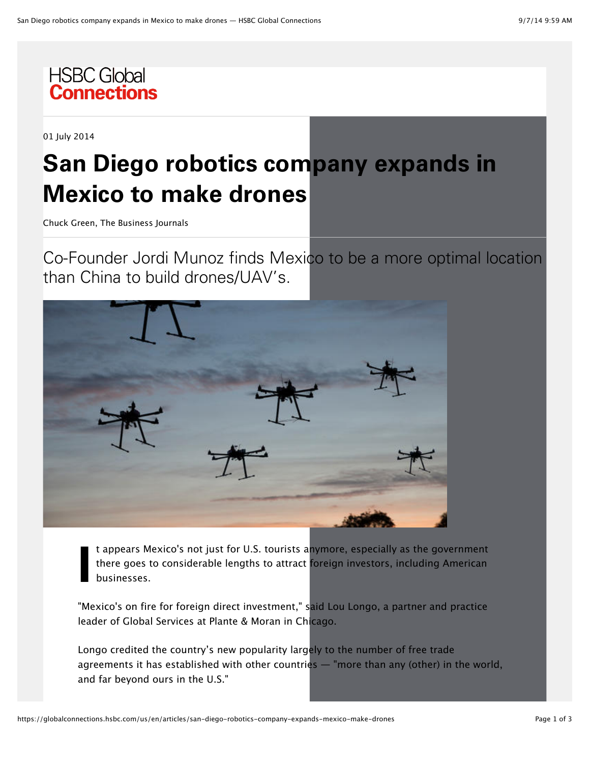

01 July 2014

## **San Diego robotics company expands in Mexico to make drones**

Chuck Green, The Business Journals

Co-Founder Jordi Munoz finds Mexico to be a more optimal location than China to build drones/UAV's.



**!** t appears Mexico's not just for U.S. tourists anymore, especially as the government there goes to considerable lengths to attract foreign investors, including American businesses.

"Mexico's on fire for foreign direct investment," said Lou Longo, a partner and practice leader of Global Services at Plante & Moran in Chicago.

Longo credited the country's new popularity largely to the number of free trade agreements it has established with other countries — "more than any (other) in the world, and far beyond ours in the U.S."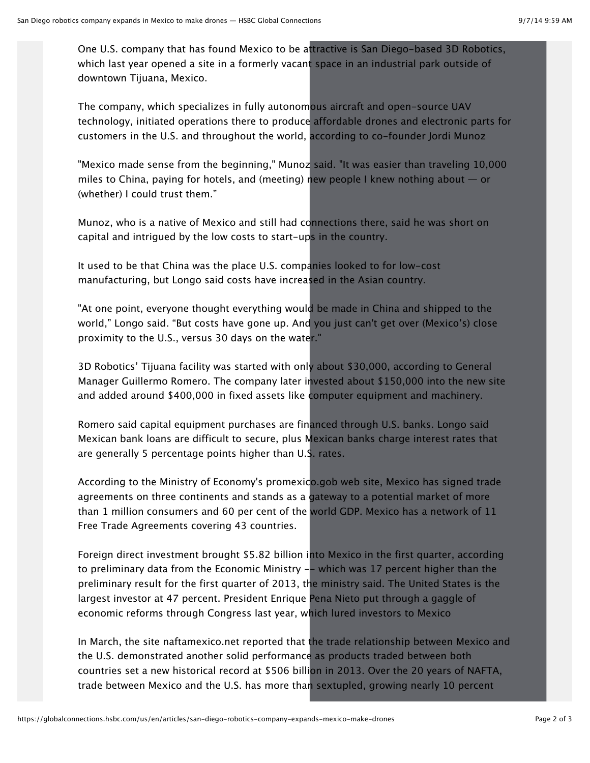One U.S. company that has found Mexico to be attractive is San Diego-based 3D Robotics, which last year opened a site in a formerly vacant space in an industrial park outside of downtown Tijuana, Mexico.

The company, which specializes in fully autonomous aircraft and open-source UAV technology, initiated operations there to produce affordable drones and electronic parts for customers in the U.S. and throughout the world, according to co-founder Jordi Munoz

"Mexico made sense from the beginning," Munoz said. "It was easier than traveling 10,000 miles to China, paying for hotels, and (meeting) new people I knew nothing about  $-$  or (whether) I could trust them."

Munoz, who is a native of Mexico and still had connections there, said he was short on capital and intrigued by the low costs to start-ups in the country.

It used to be that China was the place U.S. companies looked to for low-cost manufacturing, but Longo said costs have increased in the Asian country.

"At one point, everyone thought everything would be made in China and shipped to the world," Longo said. "But costs have gone up. And you just can't get over (Mexico's) close proximity to the U.S., versus 30 days on the water."

3D Robotics' Tijuana facility was started with only about \$30,000, according to General Manager Guillermo Romero. The company later invested about \$150,000 into the new site and added around \$400,000 in fixed assets like computer equipment and machinery.

Romero said capital equipment purchases are financed through U.S. banks. Longo said Mexican bank loans are difficult to secure, plus Mexican banks charge interest rates that are generally 5 percentage points higher than U.S. rates.

According to the Ministry of Economy's promexico.gob web site, Mexico has signed trade agreements on three continents and stands as a gateway to a potential market of more than 1 million consumers and 60 per cent of the world GDP. Mexico has a network of 11 Free Trade Agreements covering 43 countries.

Foreign direct investment brought \$5.82 billion into Mexico in the first quarter, according to preliminary data from the Economic Ministry -- which was 17 percent higher than the preliminary result for the first quarter of 2013, the ministry said. The United States is the largest investor at 47 percent. President Enrique Pena Nieto put through a gaggle of economic reforms through Congress last year, which lured investors to Mexico

In March, the site naftamexico.net reported that the trade relationship between Mexico and the U.S. demonstrated another solid performance as products traded between both countries set a new historical record at \$506 billion in 2013. Over the 20 years of NAFTA, trade between Mexico and the U.S. has more than sextupled, growing nearly 10 percent